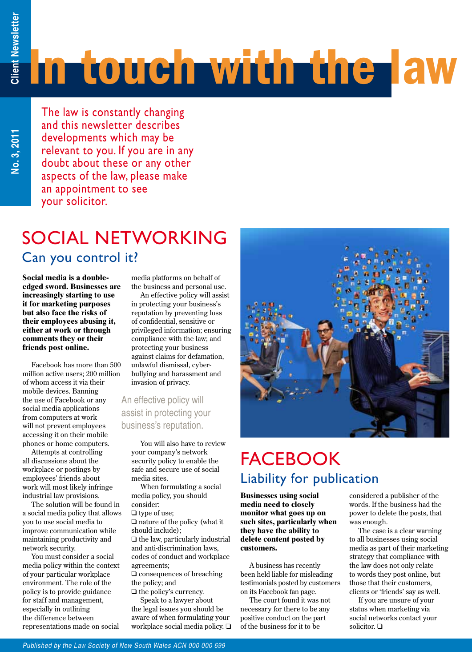**No. 3, 2011**

# In touch with the law

The law is constantly changing and this newsletter describes developments which may be relevant to you. If you are in any doubt about these or any other aspects of the law, please make an appointment to see your solicitor.

### SOCIAL NETWORKING Can you control it?

**Social media is a doubleedged sword. Businesses are increasingly starting to use it for marketing purposes but also face the risks of their employees abusing it, either at work or through comments they or their friends post online.** 

Facebook has more than 500 million active users; 200 million of whom access it via their mobile devices. Banning the use of Facebook or any social media applications from computers at work will not prevent employees accessing it on their mobile phones or home computers.

Attempts at controlling all discussions about the workplace or postings by employees' friends about work will most likely infringe industrial law provisions.

The solution will be found in a social media policy that allows you to use social media to improve communication while maintaining productivity and network security.

You must consider a social media policy within the context of your particular workplace environment. The role of the policy is to provide guidance for staff and management, especially in outlining the difference between representations made on social

media platforms on behalf of the business and personal use.

An effective policy will assist in protecting your business's reputation by preventing loss of confidential, sensitive or privileged information; ensuring compliance with the law; and protecting your business against claims for defamation, unlawful dismissal, cyberbullying and harassment and invasion of privacy.

#### An effective policy will assist in protecting your business's reputation.

You will also have to review your company's network security policy to enable the safe and secure use of social media sites.

When formulating a social media policy, you should consider:

 $\Box$  type of use:

 $\Box$  nature of the policy (what it should include);

 $\Box$  the law, particularly industrial and anti-discrimination laws, codes of conduct and workplace agreements;

 $\Box$  consequences of breaching the policy; and

 $\Box$  the policy's currency.

Speak to a lawyer about the legal issues you should be aware of when formulating your workplace social media policy.  $\Box$ 



### **FACEBOOK** Liability for publication

**Businesses using social media need to closely monitor what goes up on such sites, particularly when they have the ability to delete content posted by customers.** 

A business has recently been held liable for misleading testimonials posted by customers on its Facebook fan page.

The court found it was not necessary for there to be any positive conduct on the part of the business for it to be

considered a publisher of the words. If the business had the power to delete the posts, that was enough.

The case is a clear warning to all businesses using social media as part of their marketing strategy that compliance with the law does not only relate to words they post online, but those that their customers, clients or 'friends' say as well.

If you are unsure of your status when marketing via social networks contact your solicitor.  $\Box$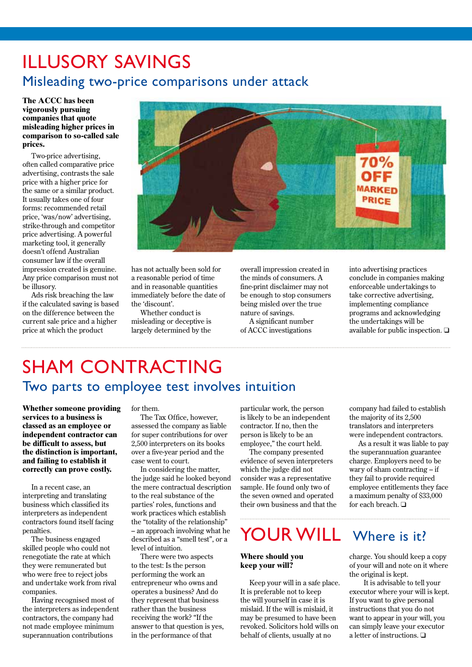### illusory savings Misleading two-price comparisons under attack

#### **The ACCC has been vigorously pursuing companies that quote misleading higher prices in comparison to so-called sale prices.**

Two-price advertising, often called comparative price advertising, contrasts the sale price with a higher price for the same or a similar product. It usually takes one of four forms: recommended retail price, 'was/now' advertising, strike-through and competitor price advertising. A powerful marketing tool, it generally doesn't offend Australian consumer law if the overall impression created is genuine. Any price comparison must not be illusory.

Ads risk breaching the law if the calculated saving is based on the difference between the current sale price and a higher price at which the product



has not actually been sold for a reasonable period of time and in reasonable quantities immediately before the date of the 'discount'.

Whether conduct is misleading or deceptive is largely determined by the

overall impression created in the minds of consumers. A fine-print disclaimer may not be enough to stop consumers being misled over the true nature of savings.

A significant number of ACCC investigations

into advertising practices conclude in companies making enforceable undertakings to take corrective advertising, implementing compliance programs and acknowledging the undertakings will be available for public inspection.  $\Box$ 

### SHAM CONTRACTING Two parts to employee test involves intuition

**Whether someone providing services to a business is classed as an employee or independent contractor can be difficult to assess, but the distinction is important, and failing to establish it correctly can prove costly.**

In a recent case, an interpreting and translating business which classified its interpreters as independent contractors found itself facing penalties.

The business engaged skilled people who could not renegotiate the rate at which they were remunerated but who were free to reject jobs and undertake work from rival companies.

Having recognised most of the interpreters as independent contractors, the company had not made employee minimum superannuation contributions

for them.

The Tax Office, however, assessed the company as liable for super contributions for over 2,500 interpreters on its books over a five-year period and the case went to court.

In considering the matter, the judge said he looked beyond the mere contractual description to the real substance of the parties' roles, functions and work practices which establish the "totality of the relationship" – an approach involving what he described as a "smell test", or a level of intuition.

There were two aspects to the test: Is the person performing the work an entrepreneur who owns and operates a business? And do they represent that business rather than the business receiving the work? "If the answer to that question is yes, in the performance of that

particular work, the person is likely to be an independent contractor. If no, then the person is likely to be an employee," the court held.

The company presented evidence of seven interpreters which the judge did not consider was a representative sample. He found only two of the seven owned and operated their own business and that the

## YOUR WILL Where is it?

#### **Where should you keep your will?**

Keep your will in a safe place. It is preferable not to keep the will yourself in case it is mislaid. If the will is mislaid, it may be presumed to have been revoked. Solicitors hold wills on behalf of clients, usually at no

company had failed to establish the majority of its 2,500 translators and interpreters were independent contractors.

As a result it was liable to pay the superannuation guarantee charge. Employers need to be wary of sham contracting – if they fail to provide required employee entitlements they face a maximum penalty of \$33,000 for each breach.  $\Box$ 

charge. You should keep a copy of your will and note on it where the original is kept.

 It is advisable to tell your executor where your will is kept. If you want to give personal instructions that you do not want to appear in your will, you can simply leave your executor a letter of instructions.  $\Box$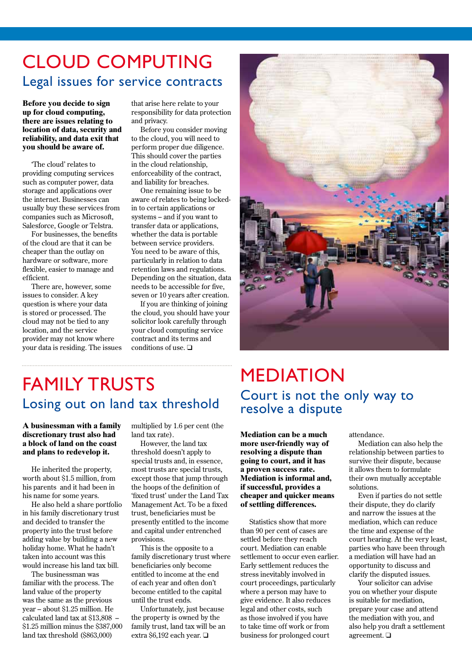### CLOUD COMPUTING Legal issues for service contracts

**Before you decide to sign up for cloud computing, there are issues relating to location of data, security and reliability, and data exit that you should be aware of.** 

'The cloud' relates to providing computing services such as computer power, data storage and applications over the internet. Businesses can usually buy these services from companies such as Microsoft, Salesforce, Google or Telstra.

For businesses, the benefits of the cloud are that it can be cheaper than the outlay on hardware or software, more flexible, easier to manage and efficient.

There are, however, some issues to consider. A key question is where your data is stored or processed. The cloud may not be tied to any location, and the service provider may not know where your data is residing. The issues that arise here relate to your responsibility for data protection and privacy.

Before you consider moving to the cloud, you will need to perform proper due diligence. This should cover the parties in the cloud relationship, enforceability of the contract, and liability for breaches.

One remaining issue to be aware of relates to being lockedin to certain applications or systems – and if you want to transfer data or applications, whether the data is portable between service providers. You need to be aware of this, particularly in relation to data retention laws and regulations. Depending on the situation, data needs to be accessible for five, seven or 10 years after creation.

If you are thinking of joining the cloud, you should have your solicitor look carefully through your cloud computing service contract and its terms and conditions of use.  $\Box$ 



### **FAMILY TRUSTS** Losing out on land tax threshold

**A businessman with a family discretionary trust also had a block of land on the coast and plans to redevelop it.** 

He inherited the property, worth about \$1.5 million, from his parents and it had been in his name for some years.

He also held a share portfolio in his family discretionary trust and decided to transfer the property into the trust before adding value by building a new holiday home. What he hadn't taken into account was this would increase his land tax bill.

The businessman was familiar with the process. The land value of the property was the same as the previous year – about \$1.25 million. He calculated land tax at \$13,808 – \$1.25 million minus the \$387,000 land tax threshold (\$863,000)

multiplied by 1.6 per cent (the land tax rate).

However, the land tax threshold doesn't apply to special trusts and, in essence, most trusts are special trusts, except those that jump through the hoops of the definition of 'fixed trust' under the Land Tax Management Act. To be a fixed trust, beneficiaries must be presently entitled to the income and capital under entrenched provisions.

This is the opposite to a family discretionary trust where beneficiaries only become entitled to income at the end of each year and often don't become entitled to the capital until the trust ends.

Unfortunately, just because the property is owned by the family trust, land tax will be an extra \$6,192 each year.  $\Box$ 

### MEDIATION Court is not the only way to resolve a dispute

**Mediation can be a much more user-friendly way of resolving a dispute than going to court, and it has a proven success rate. Mediation is informal and, if successful, provides a cheaper and quicker means of settling differences.**

Statistics show that more than 90 per cent of cases are settled before they reach court. Mediation can enable settlement to occur even earlier. Early settlement reduces the stress inevitably involved in court proceedings, particularly where a person may have to give evidence. It also reduces legal and other costs, such as those involved if you have to take time off work or from business for prolonged court

attendance.

Mediation can also help the relationship between parties to survive their dispute, because it allows them to formulate their own mutually acceptable solutions.

Even if parties do not settle their dispute, they do clarify and narrow the issues at the mediation, which can reduce the time and expense of the court hearing. At the very least, parties who have been through a mediation will have had an opportunity to discuss and clarify the disputed issues.

Your solicitor can advise you on whether your dispute is suitable for mediation, prepare your case and attend the mediation with you, and also help you draft a settlement agreement.  $\square$